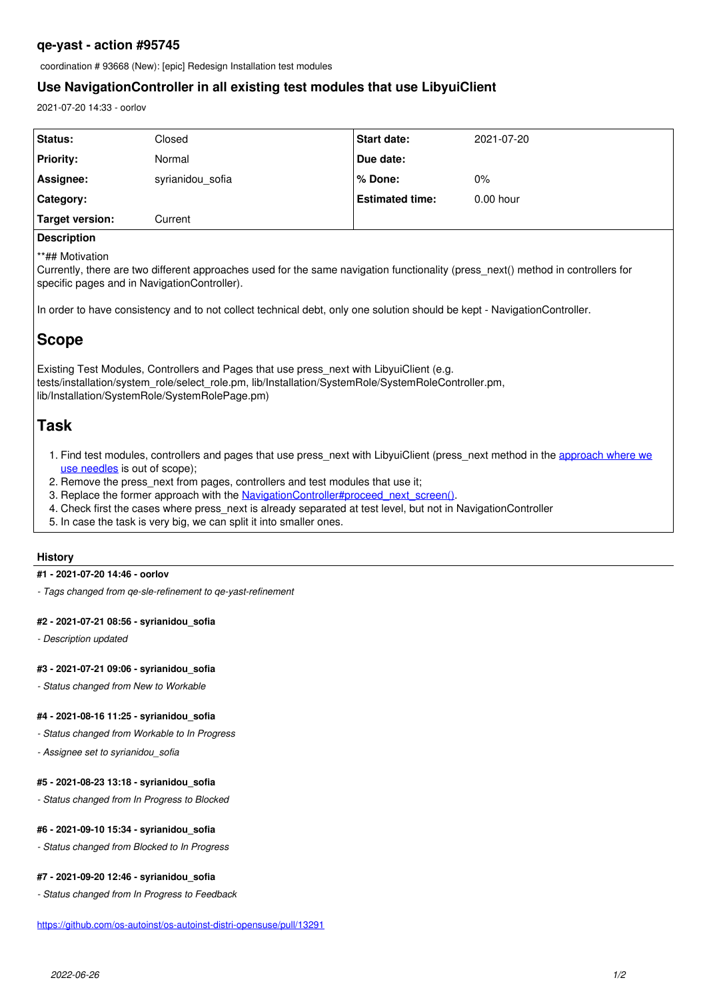### **qe-yast - action #95745**

coordination # 93668 (New): [epic] Redesign Installation test modules

## **Use NavigationController in all existing test modules that use LibyuiClient**

2021-07-20 14:33 - oorlov

| <b>Status:</b>      | Closed           | <b>Start date:</b>     | 2021-07-20  |
|---------------------|------------------|------------------------|-------------|
| <b>Priority:</b>    | Normal           | Due date:              |             |
| Assignee:           | syrianidou_sofia | l % Done:              | 0%          |
| Category:           |                  | <b>Estimated time:</b> | $0.00$ hour |
| Target version:     | Current          |                        |             |
| <b>Dogcylintica</b> |                  |                        |             |

### **Description**

\*\*## Motivation

Currently, there are two different approaches used for the same navigation functionality (press\_next() method in controllers for specific pages and in NavigationController).

In order to have consistency and to not collect technical debt, only one solution should be kept - NavigationController.

# **Scope**

Existing Test Modules, Controllers and Pages that use press\_next with LibyuiClient (e.g. tests/installation/system\_role/select\_role.pm, lib/Installation/SystemRole/SystemRoleController.pm, lib/Installation/SystemRole/SystemRolePage.pm)

# **Task**

- 1. Find test modules, controllers and pages that use press next with LibyuiClient (press next method in the [approach where we](https://github.com/os-autoinst/os-autoinst-distri-opensuse/blob/af56de66d5ea0266a79c918717600a9af68b8636/lib/Installation/Partitioner/NewPartitionTypePage.pm#L25) [use needles](https://github.com/os-autoinst/os-autoinst-distri-opensuse/blob/af56de66d5ea0266a79c918717600a9af68b8636/lib/Installation/Partitioner/NewPartitionTypePage.pm#L25) is out of scope);
- 2. Remove the press next from pages, controllers and test modules that use it;
- 3. Replace the former approach with the [NavigationController#proceed\\_next\\_screen\(\).](https://github.com/os-autoinst/os-autoinst-distri-opensuse/blob/af56de66d5ea0266a79c918717600a9af68b8636/lib/Installation/Navigation/NavigationController.pm#L36)
- 4. Check first the cases where press next is already separated at test level, but not in NavigationController
- 5. In case the task is very big, we can split it into smaller ones.

#### **History**

#### **#1 - 2021-07-20 14:46 - oorlov**

*- Tags changed from qe-sle-refinement to qe-yast-refinement*

#### **#2 - 2021-07-21 08:56 - syrianidou\_sofia**

*- Description updated*

#### **#3 - 2021-07-21 09:06 - syrianidou\_sofia**

*- Status changed from New to Workable*

#### **#4 - 2021-08-16 11:25 - syrianidou\_sofia**

*- Status changed from Workable to In Progress*

*- Assignee set to syrianidou\_sofia*

#### **#5 - 2021-08-23 13:18 - syrianidou\_sofia**

*- Status changed from In Progress to Blocked*

#### **#6 - 2021-09-10 15:34 - syrianidou\_sofia**

*- Status changed from Blocked to In Progress*

#### **#7 - 2021-09-20 12:46 - syrianidou\_sofia**

*- Status changed from In Progress to Feedback*

<https://github.com/os-autoinst/os-autoinst-distri-opensuse/pull/13291>